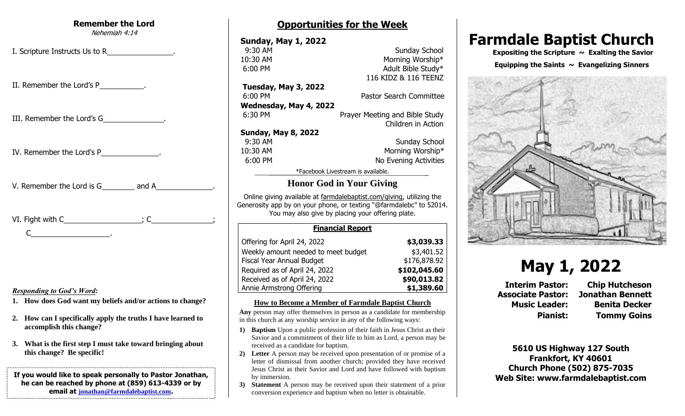#### **Remember the Lord** Nehemiah 4:14

I. Scripture Instructs Us to R

II. Remember the Lord's P .

III. Remember the Lord's G .

IV. Remember the Lord's P .

V. Remember the Lord is G and A

| VI. Fight with C_ |  |  |
|-------------------|--|--|
|                   |  |  |

#### *Responding to God's Word:*

- **1. How does God want my beliefs and/or actions to change?**
- **2. How can I specifically apply the truths I have learned to accomplish this change?**
- **3. What is the first step I must take toward bringing about this change? Be specific!**

#### **If you would like to speak personally to Pastor Jonathan, he can be reached by phone at (859) 613-4339 or by email at [jonathan@farmdalebaptist.com](mailto:jonathan@farmdalebaptist.com).**

# **Opportunities for the Week**

**Sunday, May 1, 2022 9:30 AM** Sunday School 10:30 AM Morning Worship\* 6:00 PM Adult Bible Study\* 116 KIDZ & 116 TEENZ **Tuesday, May 3, 2022** 6:00 PM Pastor Search Committee **Wednesday, May 4, 2022**

6:30 PM Prayer Meeting and Bible Study Children in Action

### **Sunday, May 8, 2022**

**9:30 AM Sunday School** 10:30 AM Morning Worship\* 6:00 PM No Evening Activities

\*Facebook Livestream is available.

# **Honor God in Your Giving**

Online giving available at farmdalebaptist.com/giving, utilizing the Generosity app by on your phone, or texting "@farmdalebc" to 52014. You may also give by placing your offering plate.

#### **Financial Report**

| Offering for April 24, 2022         | \$3,039.33   |
|-------------------------------------|--------------|
| Weekly amount needed to meet budget | \$3,401.52   |
| Fiscal Year Annual Budget           | \$176,878.92 |
| Required as of April 24, 2022       | \$102,045.60 |
| Received as of April 24, 2022       | \$90,013.82  |
| Annie Armstrong Offering            | \$1,389.60   |

#### **How to Become a Member of Farmdale Baptist Church**

**Any** person may offer themselves in person as a candidate for membership in this church at any worship service in any of the following ways:

- **1) Baptism** Upon a public profession of their faith in Jesus Christ as their Savior and a commitment of their life to him as Lord, a person may be received as a candidate for baptism.
- **2) Letter** A person may be received upon presentation of or promise of a letter of dismissal from another church; provided they have received Jesus Christ as their Savior and Lord and have followed with baptism by immersion.
- **3) Statement** A person may be received upon their statement of a prior conversion experience and baptism when no letter is obtainable.

# **Farmdale Baptist Church**

 **Expositing the Scripture ~ Exalting the Savior**

#### Equipping the Saints  $\sim$  Evangelizing Sinners



# **May 1, 2022**

**Interim Pastor: Chip Hutcheson Associate Pastor: Jonathan Bennett Music Leader: Benita Decker Pianist: Tommy Goins**

**5610 US Highway 127 South Frankfort, KY 40601 Church Phone (502) 875-7035 Web Site: www.farmdalebaptist.com**